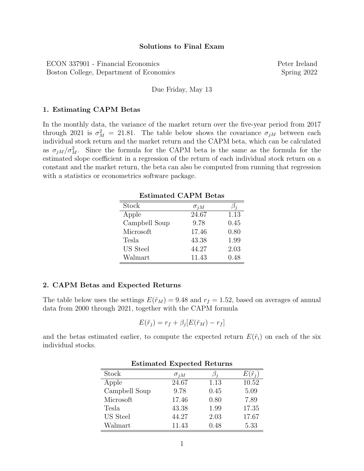## Solutions to Final Exam

ECON 337901 - Financial Economics Peter Ireland Boston College, Department of Economics Spring 2022

Due Friday, May 13

#### 1. Estimating CAPM Betas

In the monthly data, the variance of the market return over the five-year period from 2017 through 2021 is  $\sigma_M^2 = 21.81$ . The table below shows the covariance  $\sigma_{jM}$  between each individual stock return and the market return and the CAPM beta, which can be calculated as  $\sigma_{jM}/\sigma_M^2$ . Since the formula for the CAPM beta is the same as the formula for the estimated slope coefficient in a regression of the return of each individual stock return on a constant and the market return, the beta can also be computed from running that regression with a statistics or econometrics software package.

| <b>Estimated CAPM Betas</b> |               |      |  |
|-----------------------------|---------------|------|--|
| Stock                       | $\sigma_{jM}$ |      |  |
| Apple                       | 24.67         | 1.13 |  |
| Campbell Soup               | 9.78          | 0.45 |  |
| Microsoft                   | 17.46         | 0.80 |  |
| Tesla                       | 43.38         | 1.99 |  |
| US Steel                    | 44.27         | 2.03 |  |
| Walmart                     | 11.43         | 0.48 |  |

### 2. CAPM Betas and Expected Returns

The table below uses the settings  $E(\tilde{r}_M) = 9.48$  and  $r_f = 1.52$ , based on averages of annual data from 2000 through 2021, together with the CAPM formula

$$
E(\tilde{r}_j) = r_f + \beta_j [E(\tilde{r}_M) - r_f]
$$

and the betas estimated earlier, to compute the expected return  $E(\tilde{r}_i)$  on each of the six individual stocks.

| Estimated Expected Returns |               |           |                  |  |
|----------------------------|---------------|-----------|------------------|--|
| Stock                      | $\sigma_{jM}$ | $\beta_i$ | $E(\tilde{r}_i)$ |  |
| Apple                      | 24.67         | 1.13      | 10.52            |  |
| Campbell Soup              | 9.78          | 0.45      | 5.09             |  |
| Microsoft                  | 17.46         | 0.80      | 7.89             |  |
| Tesla                      | 43.38         | 1.99      | 17.35            |  |
| US Steel                   | 44.27         | 2.03      | 17.67            |  |
| Walmart                    | 11.43         | 0.48      | 5.33             |  |

# Estimated Expected Returns